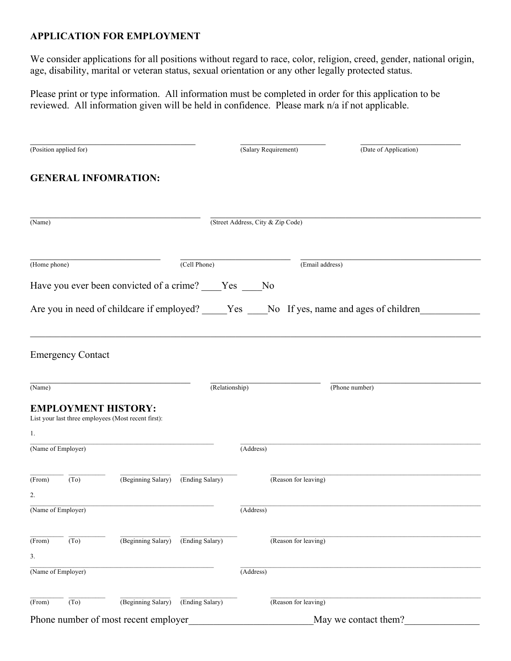## **APPLICATION FOR EMPLOYMENT**

We consider applications for all positions without regard to race, color, religion, creed, gender, national origin, age, disability, marital or veteran status, sexual orientation or any other legally protected status.

Please print or type information. All information must be completed in order for this application to be reviewed. All information given will be held in confidence. Please mark n/a if not applicable.

| (Position applied for)               |                          |                                                        |                 | (Salary Requirement)              |                      | (Date of Application)                                                                       |  |
|--------------------------------------|--------------------------|--------------------------------------------------------|-----------------|-----------------------------------|----------------------|---------------------------------------------------------------------------------------------|--|
|                                      |                          | <b>GENERAL INFOMRATION:</b>                            |                 |                                   |                      |                                                                                             |  |
| (Name)                               |                          |                                                        |                 | (Street Address, City & Zip Code) |                      |                                                                                             |  |
| (Home phone)                         |                          |                                                        | (Cell Phone)    |                                   | (Email address)      |                                                                                             |  |
|                                      |                          | Have you ever been convicted of a crime? ____Yes ___No |                 |                                   |                      |                                                                                             |  |
|                                      |                          |                                                        |                 |                                   |                      | Are you in need of childcare if employed? _____Yes ____No If yes, name and ages of children |  |
|                                      |                          |                                                        |                 |                                   |                      |                                                                                             |  |
|                                      | <b>Emergency Contact</b> |                                                        |                 |                                   |                      |                                                                                             |  |
| (Name)                               |                          |                                                        | (Relationship)  |                                   |                      | (Phone number)                                                                              |  |
|                                      |                          | <b>EMPLOYMENT HISTORY:</b>                             |                 |                                   |                      |                                                                                             |  |
| 1.                                   |                          | List your last three employees (Most recent first):    |                 |                                   |                      |                                                                                             |  |
| (Name of Employer)                   |                          |                                                        |                 | (Address)                         |                      |                                                                                             |  |
| (From)                               | (T <sub>0</sub> )        | (Beginning Salary)                                     | (Ending Salary) |                                   | (Reason for leaving) |                                                                                             |  |
| 2.<br>(Name of Employer)             |                          |                                                        |                 | (Address)                         |                      |                                                                                             |  |
|                                      |                          |                                                        |                 |                                   |                      |                                                                                             |  |
| (From)                               | (To)                     | (Beginning Salary)                                     | (Ending Salary) |                                   | (Reason for leaving) |                                                                                             |  |
| 3.                                   |                          |                                                        |                 |                                   |                      |                                                                                             |  |
|                                      | (Name of Employer)       |                                                        |                 | (Address)                         |                      |                                                                                             |  |
| (From)                               | (To)                     | (Beginning Salary)                                     | (Ending Salary) |                                   | (Reason for leaving) |                                                                                             |  |
| Phone number of most recent employer |                          |                                                        |                 |                                   | May we contact them? |                                                                                             |  |